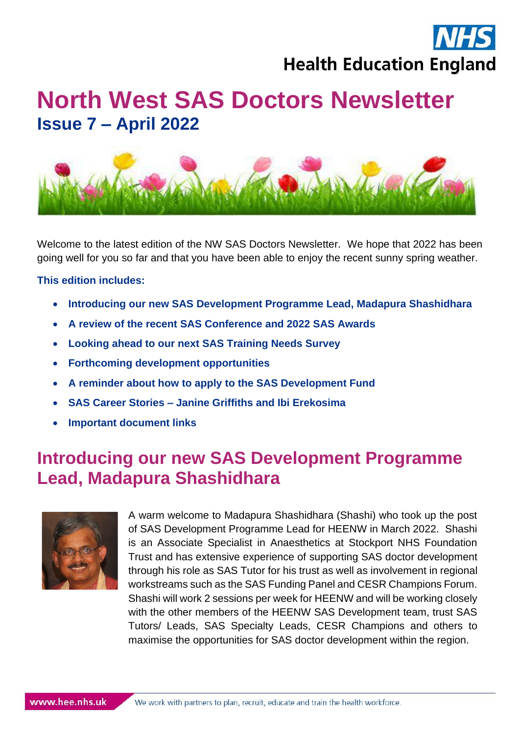

# **North West SAS Doctors Newsletter Issue 7 – April 2022**



Welcome to the latest edition of the NW SAS Doctors Newsletter. We hope that 2022 has been going well for you so far and that you have been able to enjoy the recent sunny spring weather.

#### **This edition includes:**

- **Introducing our new SAS Development Programme Lead, Madapura Shashidhara**
- **A review of the recent SAS Conference and 2022 SAS Awards**
- **Looking ahead to our next SAS Training Needs Survey**
- **Forthcoming development opportunities**
- **A reminder about how to apply to the SAS Development Fund**
- **SAS Career Stories – Janine Griffiths and Ibi Erekosima**
- **Important document links**

### **Introducing our new SAS Development Programme Lead, Madapura Shashidhara**



A warm welcome to Madapura Shashidhara (Shashi) who took up the post of SAS Development Programme Lead for HEENW in March 2022. Shashi is an Associate Specialist in Anaesthetics at Stockport NHS Foundation Trust and has extensive experience of supporting SAS doctor development through his role as SAS Tutor for his trust as well as involvement in regional workstreams such as the SAS Funding Panel and CESR Champions Forum. Shashi will work 2 sessions per week for HEENW and will be working closely with the other members of the HEENW SAS Development team, trust SAS Tutors/ Leads, SAS Specialty Leads, CESR Champions and others to maximise the opportunities for SAS doctor development within the region.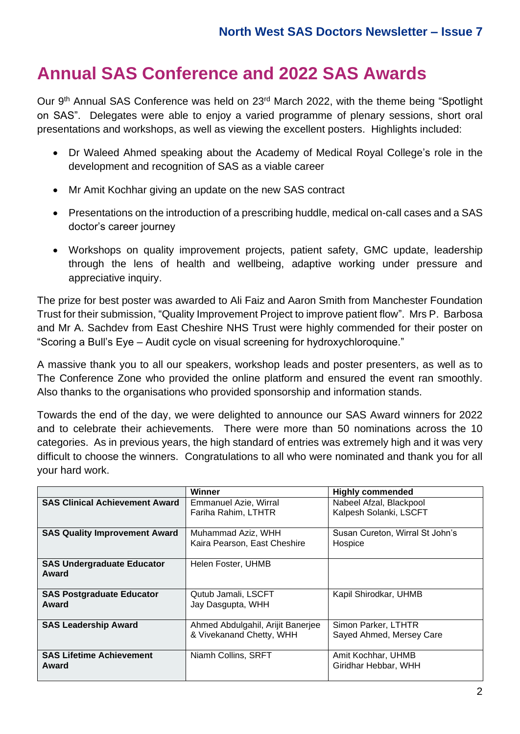### **Annual SAS Conference and 2022 SAS Awards**

Our 9th Annual SAS Conference was held on 23rd March 2022, with the theme being "Spotlight on SAS". Delegates were able to enjoy a varied programme of plenary sessions, short oral presentations and workshops, as well as viewing the excellent posters. Highlights included:

- Dr Waleed Ahmed speaking about the Academy of Medical Royal College's role in the development and recognition of SAS as a viable career
- Mr Amit Kochhar giving an update on the new SAS contract
- Presentations on the introduction of a prescribing huddle, medical on-call cases and a SAS doctor's career journey
- Workshops on quality improvement projects, patient safety, GMC update, leadership through the lens of health and wellbeing, adaptive working under pressure and appreciative inquiry.

The prize for best poster was awarded to Ali Faiz and Aaron Smith from Manchester Foundation Trust for their submission, "Quality Improvement Project to improve patient flow". Mrs P. Barbosa and Mr A. Sachdev from East Cheshire NHS Trust were highly commended for their poster on "Scoring a Bull's Eye – Audit cycle on visual screening for hydroxychloroquine."

A massive thank you to all our speakers, workshop leads and poster presenters, as well as to The Conference Zone who provided the online platform and ensured the event ran smoothly. Also thanks to the organisations who provided sponsorship and information stands.

Towards the end of the day, we were delighted to announce our SAS Award winners for 2022 and to celebrate their achievements. There were more than 50 nominations across the 10 categories. As in previous years, the high standard of entries was extremely high and it was very difficult to choose the winners. Congratulations to all who were nominated and thank you for all your hard work.

|                                            | Winner                                                        | <b>Highly commended</b>                         |
|--------------------------------------------|---------------------------------------------------------------|-------------------------------------------------|
| <b>SAS Clinical Achievement Award</b>      | Emmanuel Azie, Wirral                                         | Nabeel Afzal, Blackpool                         |
|                                            | Fariha Rahim, LTHTR                                           | Kalpesh Solanki, LSCFT                          |
| <b>SAS Quality Improvement Award</b>       | Muhammad Aziz, WHH                                            | Susan Cureton, Wirral St John's                 |
|                                            | Kaira Pearson, East Cheshire                                  | Hospice                                         |
| <b>SAS Undergraduate Educator</b><br>Award | Helen Foster, UHMB                                            |                                                 |
| <b>SAS Postgraduate Educator</b><br>Award  | Qutub Jamali, LSCFT<br>Jay Dasgupta, WHH                      | Kapil Shirodkar, UHMB                           |
| <b>SAS Leadership Award</b>                | Ahmed Abdulgahil, Arijit Banerjee<br>& Vivekanand Chetty, WHH | Simon Parker, LTHTR<br>Sayed Ahmed, Mersey Care |
| <b>SAS Lifetime Achievement</b><br>Award   | Niamh Collins, SRFT                                           | Amit Kochhar, UHMB<br>Giridhar Hebbar, WHH      |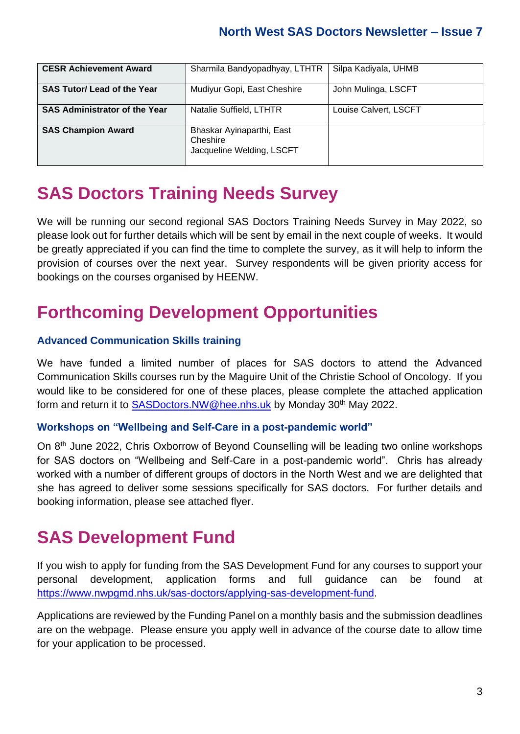| <b>CESR Achievement Award</b>        | Sharmila Bandyopadhyay, LTHTR                                      | Silpa Kadiyala, UHMB  |
|--------------------------------------|--------------------------------------------------------------------|-----------------------|
| <b>SAS Tutor/ Lead of the Year</b>   | Mudiyur Gopi, East Cheshire                                        | John Mulinga, LSCFT   |
| <b>SAS Administrator of the Year</b> | Natalie Suffield, LTHTR                                            | Louise Calvert, LSCFT |
| <b>SAS Champion Award</b>            | Bhaskar Ayinaparthi, East<br>Cheshire<br>Jacqueline Welding, LSCFT |                       |

### **SAS Doctors Training Needs Survey**

We will be running our second regional SAS Doctors Training Needs Survey in May 2022, so please look out for further details which will be sent by email in the next couple of weeks. It would be greatly appreciated if you can find the time to complete the survey, as it will help to inform the provision of courses over the next year. Survey respondents will be given priority access for bookings on the courses organised by HEENW.

### **Forthcoming Development Opportunities**

#### **Advanced Communication Skills training**

We have funded a limited number of places for SAS doctors to attend the Advanced Communication Skills courses run by the Maguire Unit of the Christie School of Oncology. If you would like to be considered for one of these places, please complete the attached application form and return it to [SASDoctors.NW@hee.nhs.uk](mailto:SASDoctors.NW@hee.nhs.uk) by Monday 30th May 2022.

#### **Workshops on "Wellbeing and Self-Care in a post-pandemic world"**

On 8th June 2022, Chris Oxborrow of Beyond Counselling will be leading two online workshops for SAS doctors on "Wellbeing and Self-Care in a post-pandemic world". Chris has already worked with a number of different groups of doctors in the North West and we are delighted that she has agreed to deliver some sessions specifically for SAS doctors. For further details and booking information, please see attached flyer.

### **SAS Development Fund**

If you wish to apply for funding from the SAS Development Fund for any courses to support your personal development, application forms and full guidance can be found at [https://www.nwpgmd.nhs.uk/sas-doctors/applying-sas-development-fund.](https://www.nwpgmd.nhs.uk/sas-doctors/applying-sas-development-fund)

Applications are reviewed by the Funding Panel on a monthly basis and the submission deadlines are on the webpage. Please ensure you apply well in advance of the course date to allow time for your application to be processed.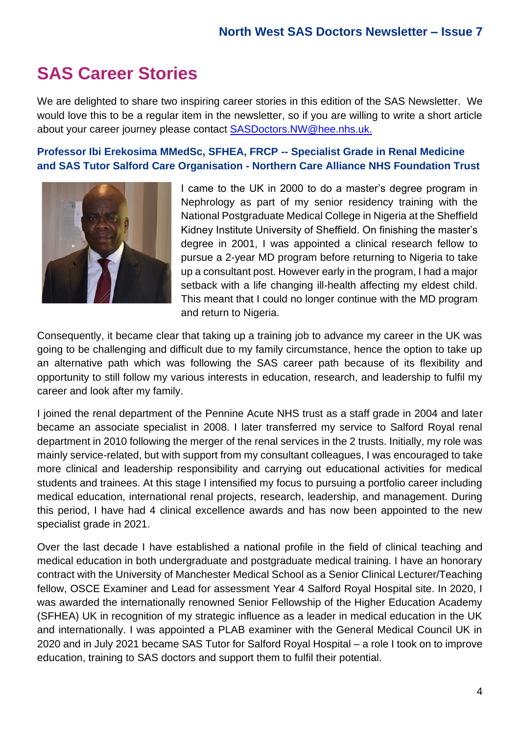### **SAS Career Stories**

We are delighted to share two inspiring career stories in this edition of the SAS Newsletter. We would love this to be a regular item in the newsletter, so if you are willing to write a short article about your career journey please contact [SASDoctors.NW@hee.nhs.uk.](mailto:SASDoctors.NW@hee.nhs.uk)

#### **Professor Ibi Erekosima MMedSc, SFHEA, FRCP -- Specialist Grade in Renal Medicine and SAS Tutor Salford Care Organisation - Northern Care Alliance NHS Foundation Trust**



I came to the UK in 2000 to do a master's degree program in Nephrology as part of my senior residency training with the National Postgraduate Medical College in Nigeria at the Sheffield Kidney Institute University of Sheffield. On finishing the master's degree in 2001, I was appointed a clinical research fellow to pursue a 2-year MD program before returning to Nigeria to take up a consultant post. However early in the program, I had a major setback with a life changing ill-health affecting my eldest child. This meant that I could no longer continue with the MD program and return to Nigeria.

Consequently, it became clear that taking up a training job to advance my career in the UK was going to be challenging and difficult due to my family circumstance, hence the option to take up an alternative path which was following the SAS career path because of its flexibility and opportunity to still follow my various interests in education, research, and leadership to fulfil my career and look after my family.

I joined the renal department of the Pennine Acute NHS trust as a staff grade in 2004 and later became an associate specialist in 2008. I later transferred my service to Salford Royal renal department in 2010 following the merger of the renal services in the 2 trusts. Initially, my role was mainly service-related, but with support from my consultant colleagues, I was encouraged to take more clinical and leadership responsibility and carrying out educational activities for medical students and trainees. At this stage I intensified my focus to pursuing a portfolio career including medical education, international renal projects, research, leadership, and management. During this period, I have had 4 clinical excellence awards and has now been appointed to the new specialist grade in 2021.

Over the last decade I have established a national profile in the field of clinical teaching and medical education in both undergraduate and postgraduate medical training. I have an honorary contract with the University of Manchester Medical School as a Senior Clinical Lecturer/Teaching fellow, OSCE Examiner and Lead for assessment Year 4 Salford Royal Hospital site. In 2020, I was awarded the internationally renowned Senior Fellowship of the Higher Education Academy (SFHEA) UK in recognition of my strategic influence as a leader in medical education in the UK and internationally. I was appointed a PLAB examiner with the General Medical Council UK in 2020 and in July 2021 became SAS Tutor for Salford Royal Hospital – a role I took on to improve education, training to SAS doctors and support them to fulfil their potential.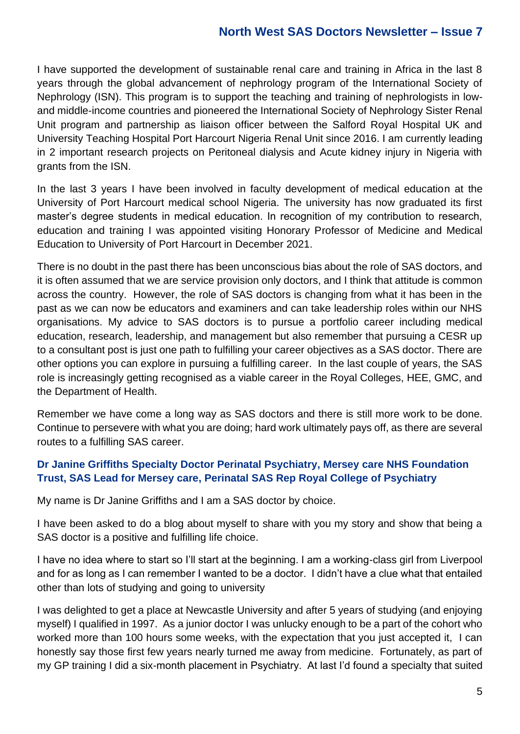#### **North West SAS Doctors Newsletter – Issue 7**

I have supported the development of sustainable renal care and training in Africa in the last 8 years through the global advancement of nephrology program of the International Society of Nephrology (ISN). This program is to support the teaching and training of nephrologists in lowand middle-income countries and pioneered the International Society of Nephrology Sister Renal Unit program and partnership as liaison officer between the Salford Royal Hospital UK and University Teaching Hospital Port Harcourt Nigeria Renal Unit since 2016. I am currently leading in 2 important research projects on Peritoneal dialysis and Acute kidney injury in Nigeria with grants from the ISN.

In the last 3 years I have been involved in faculty development of medical education at the University of Port Harcourt medical school Nigeria. The university has now graduated its first master's degree students in medical education. In recognition of my contribution to research, education and training I was appointed visiting Honorary Professor of Medicine and Medical Education to University of Port Harcourt in December 2021.

There is no doubt in the past there has been unconscious bias about the role of SAS doctors, and it is often assumed that we are service provision only doctors, and I think that attitude is common across the country. However, the role of SAS doctors is changing from what it has been in the past as we can now be educators and examiners and can take leadership roles within our NHS organisations. My advice to SAS doctors is to pursue a portfolio career including medical education, research, leadership, and management but also remember that pursuing a CESR up to a consultant post is just one path to fulfilling your career objectives as a SAS doctor. There are other options you can explore in pursuing a fulfilling career. In the last couple of years, the SAS role is increasingly getting recognised as a viable career in the Royal Colleges, HEE, GMC, and the Department of Health.

Remember we have come a long way as SAS doctors and there is still more work to be done. Continue to persevere with what you are doing; hard work ultimately pays off, as there are several routes to a fulfilling SAS career.

#### **Dr Janine Griffiths Specialty Doctor Perinatal Psychiatry, Mersey care NHS Foundation Trust, SAS Lead for Mersey care, Perinatal SAS Rep Royal College of Psychiatry**

My name is Dr Janine Griffiths and I am a SAS doctor by choice.

I have been asked to do a blog about myself to share with you my story and show that being a SAS doctor is a positive and fulfilling life choice.

I have no idea where to start so I'll start at the beginning. I am a working-class girl from Liverpool and for as long as I can remember I wanted to be a doctor. I didn't have a clue what that entailed other than lots of studying and going to university

I was delighted to get a place at Newcastle University and after 5 years of studying (and enjoying myself) I qualified in 1997. As a junior doctor I was unlucky enough to be a part of the cohort who worked more than 100 hours some weeks, with the expectation that you just accepted it, I can honestly say those first few years nearly turned me away from medicine. Fortunately, as part of my GP training I did a six-month placement in Psychiatry. At last I'd found a specialty that suited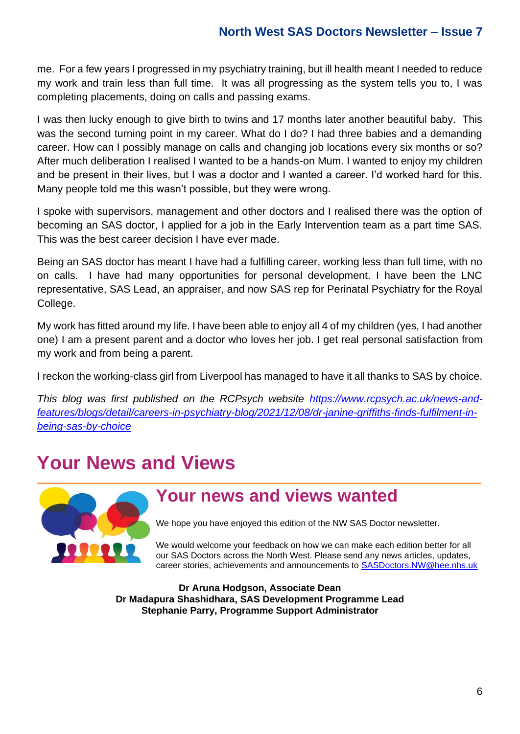me. For a few years I progressed in my psychiatry training, but ill health meant I needed to reduce my work and train less than full time. It was all progressing as the system tells you to, I was completing placements, doing on calls and passing exams.

I was then lucky enough to give birth to twins and 17 months later another beautiful baby. This was the second turning point in my career. What do I do? I had three babies and a demanding career. How can I possibly manage on calls and changing job locations every six months or so? After much deliberation I realised I wanted to be a hands-on Mum. I wanted to enjoy my children and be present in their lives, but I was a doctor and I wanted a career. I'd worked hard for this. Many people told me this wasn't possible, but they were wrong.

I spoke with supervisors, management and other doctors and I realised there was the option of becoming an SAS doctor, I applied for a job in the Early Intervention team as a part time SAS. This was the best career decision I have ever made.

Being an SAS doctor has meant I have had a fulfilling career, working less than full time, with no on calls. I have had many opportunities for personal development. I have been the LNC representative, SAS Lead, an appraiser, and now SAS rep for Perinatal Psychiatry for the Royal College.

My work has fitted around my life. I have been able to enjoy all 4 of my children (yes, I had another one) I am a present parent and a doctor who loves her job. I get real personal satisfaction from my work and from being a parent.

I reckon the working-class girl from Liverpool has managed to have it all thanks to SAS by choice.

*This blog was first published on the RCPsych website [https://www.rcpsych.ac.uk/news-and](https://www.rcpsych.ac.uk/news-and-features/blogs/detail/careers-in-psychiatry-blog/2021/12/08/dr-janine-griffiths-finds-fulfilment-in-being-sas-by-choice)[features/blogs/detail/careers-in-psychiatry-blog/2021/12/08/dr-janine-griffiths-finds-fulfilment-in](https://www.rcpsych.ac.uk/news-and-features/blogs/detail/careers-in-psychiatry-blog/2021/12/08/dr-janine-griffiths-finds-fulfilment-in-being-sas-by-choice)[being-sas-by-choice](https://www.rcpsych.ac.uk/news-and-features/blogs/detail/careers-in-psychiatry-blog/2021/12/08/dr-janine-griffiths-finds-fulfilment-in-being-sas-by-choice)*

# **Your News and Views**



### **Your news and views wanted**

We hope you have enjoyed this edition of the NW SAS Doctor newsletter.

We would welcome your feedback on how we can make each edition better for all our SAS Doctors across the North West. Please send any news articles, updates, career stories, achievements and announcements to **[SASDoctors.NW@hee.nhs.uk](mailto:SASDoctors.NW@hee.nhs.uk)** 

**Dr Aruna Hodgson, Associate Dean Dr Madapura Shashidhara, SAS Development Programme Lead Stephanie Parry, Programme Support Administrator**